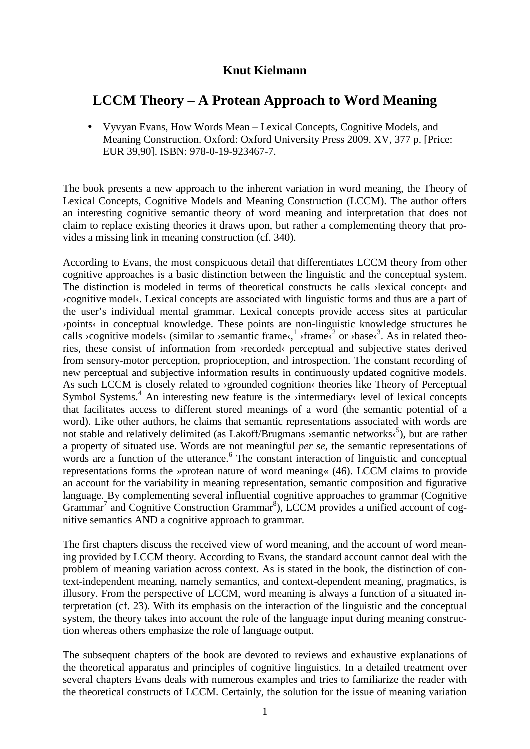## **Knut Kielmann**

# **LCCM Theory – A Protean Approach to Word Meaning**

• Vyvyan Evans, How Words Mean – Lexical Concepts, Cognitive Models, and Meaning Construction. Oxford: Oxford University Press 2009. XV, 377 p. [Price: EUR 39,90]. ISBN: 978-0-19-923467-7.

The book presents a new approach to the inherent variation in word meaning, the Theory of Lexical Concepts, Cognitive Models and Meaning Construction (LCCM). The author offers an interesting cognitive semantic theory of word meaning and interpretation that does not claim to replace existing theories it draws upon, but rather a complementing theory that provides a missing link in meaning construction (cf. 340).

According to Evans, the most conspicuous detail that differentiates LCCM theory from other cognitive approaches is a basic distinction between the linguistic and the conceptual system. The distinction is modeled in terms of theoretical constructs he calls  $\lambda$ lexical concept $\lambda$  and ›cognitive model‹. Lexical concepts are associated with linguistic forms and thus are a part of the user's individual mental grammar. Lexical concepts provide access sites at particular ›points‹ in conceptual knowledge. These points are non-linguistic knowledge structures he calls >cognitive models< (similar to >semantic frame< $\frac{1}{2}$  >frame<sup>{2}</sup> or >base<sup>{3}</sup>. As in related theories, these consist of information from ›recorded‹ perceptual and subjective states derived from sensory-motor perception, proprioception, and introspection. The constant recording of new perceptual and subjective information results in continuously updated cognitive models. As such LCCM is closely related to ›grounded cognition‹ theories like Theory of Perceptual Symbol Systems.<sup>4</sup> An interesting new feature is the >intermediary< level of lexical concepts that facilitates access to different stored meanings of a word (the semantic potential of a word). Like other authors, he claims that semantic representations associated with words are not stable and relatively delimited (as Lakoff/Brugmans > semantic networks $\zeta^5$ ), but are rather a property of situated use. Words are not meaningful *per se*, the semantic representations of words are a function of the utterance.<sup>6</sup> The constant interaction of linguistic and conceptual representations forms the »protean nature of word meaning« (46). LCCM claims to provide an account for the variability in meaning representation, semantic composition and figurative language. By complementing several influential cognitive approaches to grammar (Cognitive Grammar<sup>7</sup> and Cognitive Construction Grammar<sup>8</sup>), LCCM provides a unified account of cognitive semantics AND a cognitive approach to grammar.

The first chapters discuss the received view of word meaning, and the account of word meaning provided by LCCM theory. According to Evans, the standard account cannot deal with the problem of meaning variation across context. As is stated in the book, the distinction of context-independent meaning, namely semantics, and context-dependent meaning, pragmatics, is illusory. From the perspective of LCCM, word meaning is always a function of a situated interpretation (cf. 23). With its emphasis on the interaction of the linguistic and the conceptual system, the theory takes into account the role of the language input during meaning construction whereas others emphasize the role of language output.

The subsequent chapters of the book are devoted to reviews and exhaustive explanations of the theoretical apparatus and principles of cognitive linguistics. In a detailed treatment over several chapters Evans deals with numerous examples and tries to familiarize the reader with the theoretical constructs of LCCM. Certainly, the solution for the issue of meaning variation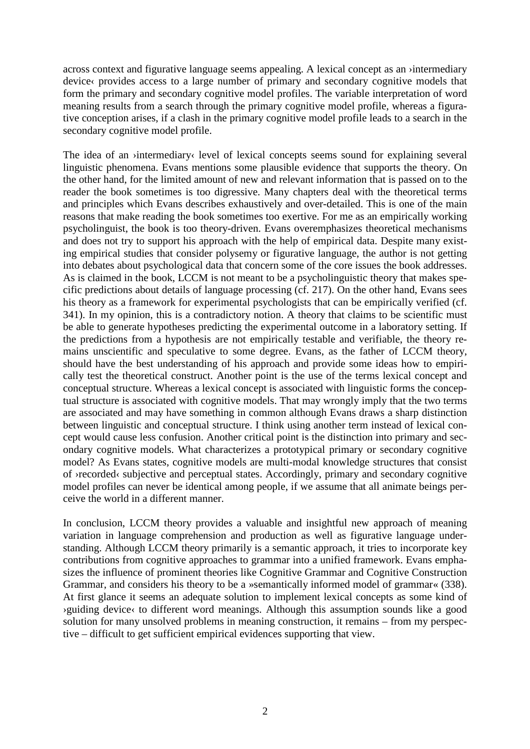across context and figurative language seems appealing. A lexical concept as an ›intermediary device  $\epsilon$  provides access to a large number of primary and secondary cognitive models that form the primary and secondary cognitive model profiles. The variable interpretation of word meaning results from a search through the primary cognitive model profile, whereas a figurative conception arises, if a clash in the primary cognitive model profile leads to a search in the secondary cognitive model profile.

The idea of an >intermediary< level of lexical concepts seems sound for explaining several linguistic phenomena. Evans mentions some plausible evidence that supports the theory. On the other hand, for the limited amount of new and relevant information that is passed on to the reader the book sometimes is too digressive. Many chapters deal with the theoretical terms and principles which Evans describes exhaustively and over-detailed. This is one of the main reasons that make reading the book sometimes too exertive. For me as an empirically working psycholinguist, the book is too theory-driven. Evans overemphasizes theoretical mechanisms and does not try to support his approach with the help of empirical data. Despite many existing empirical studies that consider polysemy or figurative language, the author is not getting into debates about psychological data that concern some of the core issues the book addresses. As is claimed in the book, LCCM is not meant to be a psycholinguistic theory that makes specific predictions about details of language processing (cf. 217). On the other hand, Evans sees his theory as a framework for experimental psychologists that can be empirically verified (cf. 341). In my opinion, this is a contradictory notion. A theory that claims to be scientific must be able to generate hypotheses predicting the experimental outcome in a laboratory setting. If the predictions from a hypothesis are not empirically testable and verifiable, the theory remains unscientific and speculative to some degree. Evans, as the father of LCCM theory, should have the best understanding of his approach and provide some ideas how to empirically test the theoretical construct. Another point is the use of the terms lexical concept and conceptual structure. Whereas a lexical concept is associated with linguistic forms the conceptual structure is associated with cognitive models. That may wrongly imply that the two terms are associated and may have something in common although Evans draws a sharp distinction between linguistic and conceptual structure. I think using another term instead of lexical concept would cause less confusion. Another critical point is the distinction into primary and secondary cognitive models. What characterizes a prototypical primary or secondary cognitive model? As Evans states, cognitive models are multi-modal knowledge structures that consist of ›recorded‹ subjective and perceptual states. Accordingly, primary and secondary cognitive model profiles can never be identical among people, if we assume that all animate beings perceive the world in a different manner.

In conclusion, LCCM theory provides a valuable and insightful new approach of meaning variation in language comprehension and production as well as figurative language understanding. Although LCCM theory primarily is a semantic approach, it tries to incorporate key contributions from cognitive approaches to grammar into a unified framework. Evans emphasizes the influence of prominent theories like Cognitive Grammar and Cognitive Construction Grammar, and considers his theory to be a »semantically informed model of grammar« (338). At first glance it seems an adequate solution to implement lexical concepts as some kind of ›guiding device‹ to different word meanings. Although this assumption sounds like a good solution for many unsolved problems in meaning construction, it remains – from my perspective – difficult to get sufficient empirical evidences supporting that view.